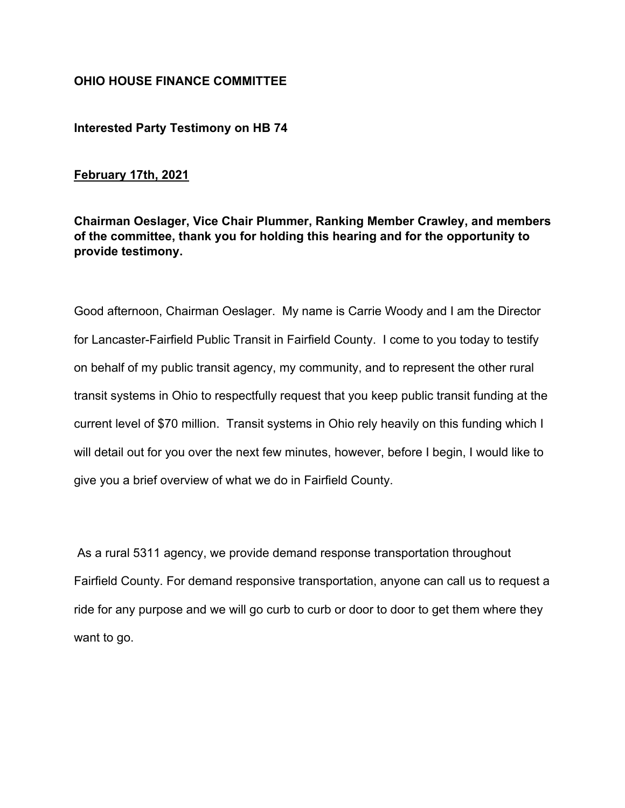## **OHIO HOUSE FINANCE COMMITTEE**

**Interested Party Testimony on HB 74**

## **February 17th, 2021**

**Chairman Oeslager, Vice Chair Plummer, Ranking Member Crawley, and members of the committee, thank you for holding this hearing and for the opportunity to provide testimony.**

Good afternoon, Chairman Oeslager. My name is Carrie Woody and I am the Director for Lancaster-Fairfield Public Transit in Fairfield County. I come to you today to testify on behalf of my public transit agency, my community, and to represent the other rural transit systems in Ohio to respectfully request that you keep public transit funding at the current level of \$70 million. Transit systems in Ohio rely heavily on this funding which I will detail out for you over the next few minutes, however, before I begin, I would like to give you a brief overview of what we do in Fairfield County.

As a rural 5311 agency, we provide demand response transportation throughout Fairfield County. For demand responsive transportation, anyone can call us to request a ride for any purpose and we will go curb to curb or door to door to get them where they want to go.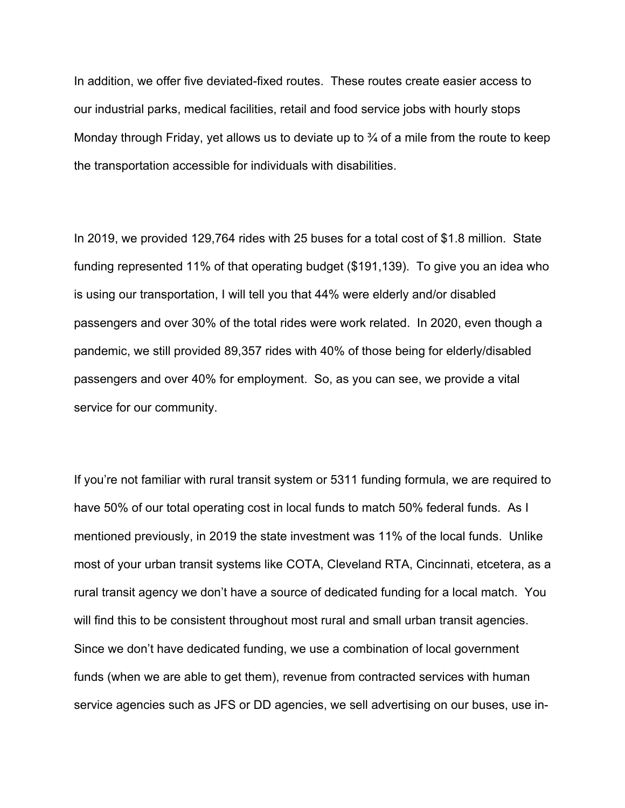In addition, we offer five deviated-fixed routes. These routes create easier access to our industrial parks, medical facilities, retail and food service jobs with hourly stops Monday through Friday, yet allows us to deviate up to  $\frac{3}{4}$  of a mile from the route to keep the transportation accessible for individuals with disabilities.

In 2019, we provided 129,764 rides with 25 buses for a total cost of \$1.8 million. State funding represented 11% of that operating budget (\$191,139). To give you an idea who is using our transportation, I will tell you that 44% were elderly and/or disabled passengers and over 30% of the total rides were work related. In 2020, even though a pandemic, we still provided 89,357 rides with 40% of those being for elderly/disabled passengers and over 40% for employment. So, as you can see, we provide a vital service for our community.

If you're not familiar with rural transit system or 5311 funding formula, we are required to have 50% of our total operating cost in local funds to match 50% federal funds. As I mentioned previously, in 2019 the state investment was 11% of the local funds. Unlike most of your urban transit systems like COTA, Cleveland RTA, Cincinnati, etcetera, as a rural transit agency we don't have a source of dedicated funding for a local match. You will find this to be consistent throughout most rural and small urban transit agencies. Since we don't have dedicated funding, we use a combination of local government funds (when we are able to get them), revenue from contracted services with human service agencies such as JFS or DD agencies, we sell advertising on our buses, use in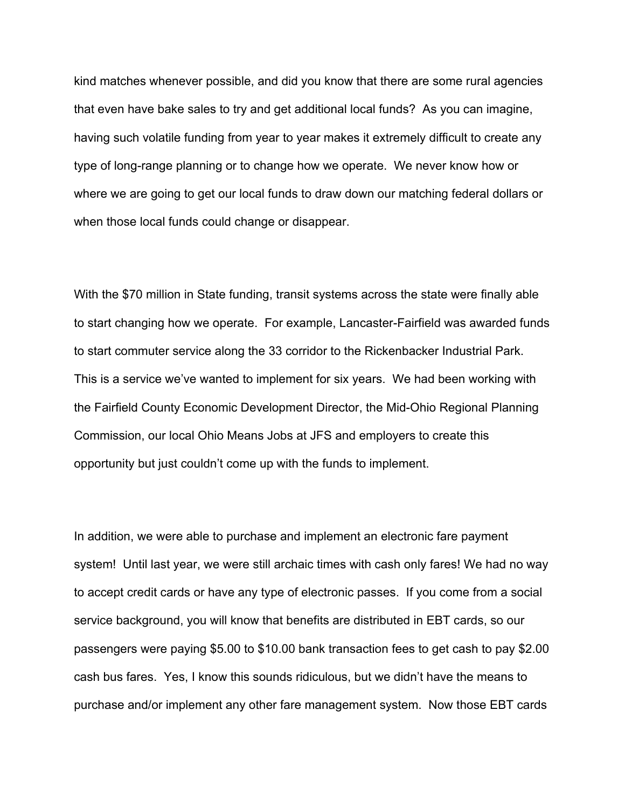kind matches whenever possible, and did you know that there are some rural agencies that even have bake sales to try and get additional local funds? As you can imagine, having such volatile funding from year to year makes it extremely difficult to create any type of long-range planning or to change how we operate. We never know how or where we are going to get our local funds to draw down our matching federal dollars or when those local funds could change or disappear.

With the \$70 million in State funding, transit systems across the state were finally able to start changing how we operate. For example, Lancaster-Fairfield was awarded funds to start commuter service along the 33 corridor to the Rickenbacker Industrial Park. This is a service we've wanted to implement for six years. We had been working with the Fairfield County Economic Development Director, the Mid-Ohio Regional Planning Commission, our local Ohio Means Jobs at JFS and employers to create this opportunity but just couldn't come up with the funds to implement.

In addition, we were able to purchase and implement an electronic fare payment system! Until last year, we were still archaic times with cash only fares! We had no way to accept credit cards or have any type of electronic passes. If you come from a social service background, you will know that benefits are distributed in EBT cards, so our passengers were paying \$5.00 to \$10.00 bank transaction fees to get cash to pay \$2.00 cash bus fares. Yes, I know this sounds ridiculous, but we didn't have the means to purchase and/or implement any other fare management system. Now those EBT cards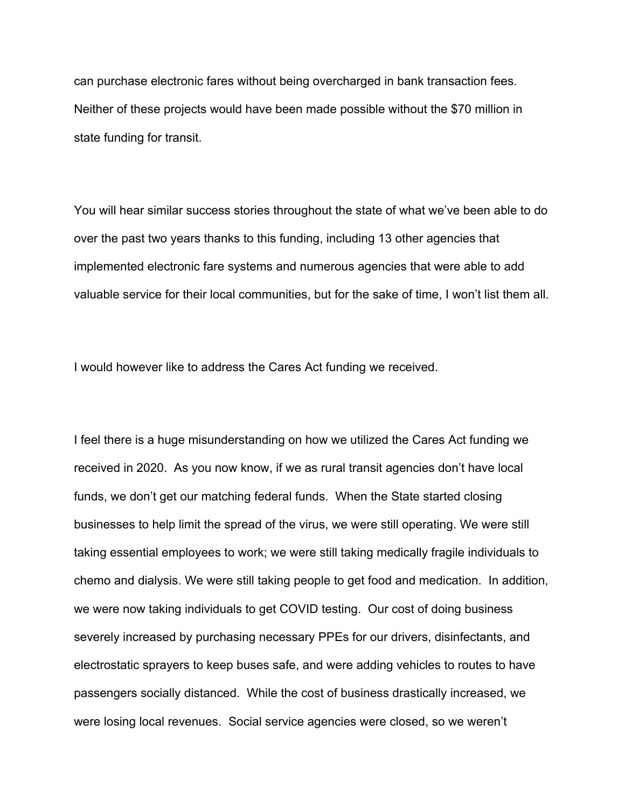can purchase electronic fares without being overcharged in bank transaction fees. Neither of these projects would have been made possible without the \$70 million in state funding for transit.

You will hear similar success stories throughout the state of what we've been able to do over the past two years thanks to this funding, including 13 other agencies that implemented electronic fare systems and numerous agencies that were able to add valuable service for their local communities, but for the sake of time, I won't list them all.

I would however like to address the Cares Act funding we received.

I feel there is a huge misunderstanding on how we utilized the Cares Act funding we received in 2020. As you now know, if we as rural transit agencies don't have local funds, we don't get our matching federal funds. When the State started closing businesses to help limit the spread of the virus, we were still operating. We were still taking essential employees to work; we were still taking medically fragile individuals to chemo and dialysis. We were still taking people to get food and medication. In addition, we were now taking individuals to get COVID testing. Our cost of doing business severely increased by purchasing necessary PPEs for our drivers, disinfectants, and electrostatic sprayers to keep buses safe, and were adding vehicles to routes to have passengers socially distanced. While the cost of business drastically increased, we were losing local revenues. Social service agencies were closed, so we weren't